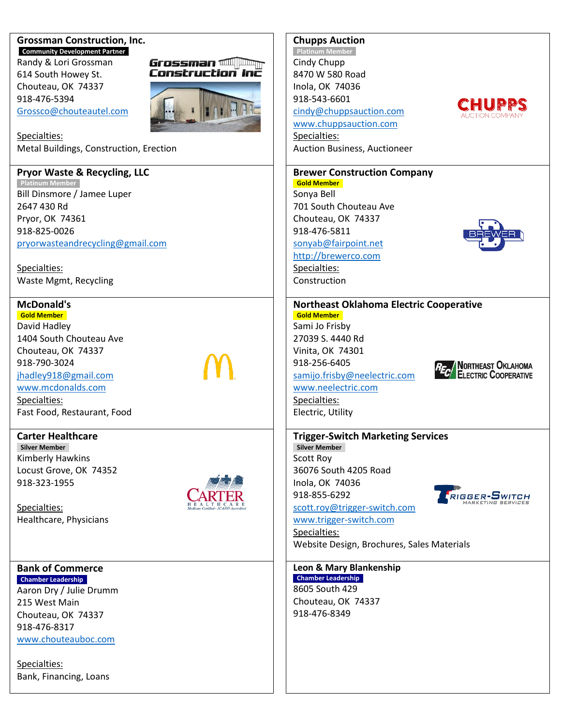#### **Grossman Construction, Inc. \_Community Development Partner\_**

Randy & Lori Grossman 614 South Howey St. Chouteau, OK 74337 918-476-5394 [Grossco@chouteautel.com](mailto:Grossco@chouteautel.com)



Specialties: Metal Buildings, Construction, Erection

## **Pryor Waste & Recycling, LLC**

**\_Platinum Member\_** Bill Dinsmore / Jamee Luper 2647 430 Rd Pryor, OK 74361 918-825-0026 [pryorwasteandrecycling@gmail.com](mailto:pryorwasteandrecycling@gmail.com)

Specialties: Waste Mgmt, Recycling

# **McDonald's**

**\_Gold Member\_** David Hadley 1404 South Chouteau Ave Chouteau, OK 74337 918-790-3024 [jhadley918@gmail.com](mailto:jhadley918@gmail.com) [www.mcdonalds.com](http://www.mcdonalds.com/) Specialties: Fast Food, Restaurant, Food

**Carter Healthcare \_Silver Member\_** Kimberly Hawkins Locust Grove, OK 74352 918-323-1955

Specialties: Healthcare, Physicians

## **Bank of Commerce \_Chamber Leadership\_**

Aaron Dry / Julie Drumm 215 West Main Chouteau, OK 74337 918-476-8317 [www.chouteauboc.com](http://www.chouteauboc.com/)

Specialties: Bank, Financing, Loans



## **Chupps Auction**

**Platinum Member** Cindy Chupp 8470 W 580 Road Inola, OK 74036 918-543-6601 [cindy@chuppsauction.com](mailto:cindy@chuppsauction.com)



Auction Business, Auctioneer

# **Brewer Construction Company**

**\_Gold Member\_**

Sonya Bell 701 South Chouteau Ave Chouteau, OK 74337 918-476-5811 [sonyab@fairpoint.net](mailto:sonyab@fairpoint.net)

[http://brewerco.com](http://brewerco.com/)

Specialties: Construction

#### **Northeast Oklahoma Electric Cooperative \_Gold Member\_**

Sami Jo Frisby 27039 S. 4440 Rd Vinita, OK 74301 918-256-6405 [samijo.frisby@neelectric.com](mailto:samijo.frisby@neelectric.com) [www.neelectric.com](http://www.neelectric.com/)



Specialties: Electric, Utility

# **Trigger-Switch Marketing Services**

**\_Silver Member\_** Scott Roy 36076 South 4205 Road Inola, OK 74036 918-855-6292 [scott.roy@trigger-switch.com](mailto:scott.roy@trigger-switch.com)

## [www.trigger-switch.com](http://www.trigger-switch.com/)

Specialties: Website Design, Brochures, Sales Materials

## **Leon & Mary Blankenship**

**\_Chamber Leadership\_** 8605 South 429 Chouteau, OK 74337 918-476-8349



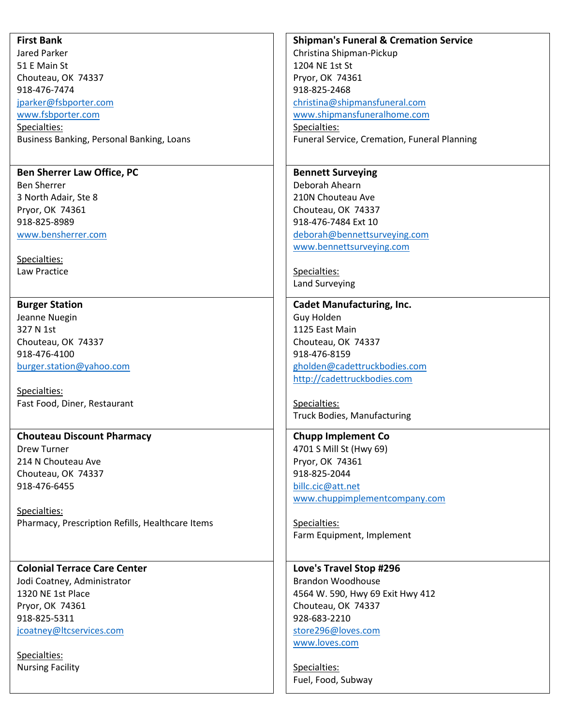| <b>First Bank</b>                                | <b>Shipman's Funeral &amp; Cremation Service</b> |
|--------------------------------------------------|--------------------------------------------------|
| Jared Parker                                     | Christina Shipman-Pickup                         |
| 51 E Main St                                     | 1204 NE 1st St                                   |
| Chouteau, OK 74337                               | Pryor, OK 74361                                  |
| 918-476-7474                                     | 918-825-2468                                     |
| jparker@fsbporter.com                            | christina@shipmansfuneral.com                    |
| www.fsbporter.com                                | www.shipmansfuneralhome.com                      |
| Specialties:                                     | Specialties:                                     |
| Business Banking, Personal Banking, Loans        | Funeral Service, Cremation, Funeral Planning     |
|                                                  |                                                  |
| <b>Ben Sherrer Law Office, PC</b>                | <b>Bennett Surveying</b>                         |
| <b>Ben Sherrer</b>                               | Deborah Ahearn                                   |
| 3 North Adair, Ste 8                             | 210N Chouteau Ave                                |
| Pryor, OK 74361                                  | Chouteau, OK 74337                               |
| 918-825-8989                                     | 918-476-7484 Ext 10                              |
| www.bensherrer.com                               | deborah@bennettsurveying.com                     |
|                                                  |                                                  |
|                                                  | www.bennettsurveying.com                         |
| Specialties:                                     |                                                  |
| Law Practice                                     | Specialties:                                     |
|                                                  | <b>Land Surveying</b>                            |
| <b>Burger Station</b>                            | <b>Cadet Manufacturing, Inc.</b>                 |
| Jeanne Nuegin                                    | Guy Holden                                       |
| 327 N 1st                                        | 1125 East Main                                   |
| Chouteau, OK 74337                               | Chouteau, OK 74337                               |
| 918-476-4100                                     | 918-476-8159                                     |
| burger.station@yahoo.com                         | gholden@cadettruckbodies.com                     |
|                                                  | http://cadettruckbodies.com                      |
| Specialties:                                     |                                                  |
| Fast Food, Diner, Restaurant                     | Specialties:                                     |
|                                                  | Truck Bodies, Manufacturing                      |
|                                                  |                                                  |
| <b>Chouteau Discount Pharmacy</b>                | <b>Chupp Implement Co</b>                        |
| Drew Turner                                      | 4701 S Mill St (Hwy 69)                          |
| 214 N Chouteau Ave                               | Pryor, OK 74361                                  |
| Chouteau, OK 74337                               | 918-825-2044                                     |
| 918-476-6455                                     | billc.cic@att.net                                |
|                                                  | www.chuppimplementcompany.com                    |
| Specialties:                                     |                                                  |
| Pharmacy, Prescription Refills, Healthcare Items | Specialties:                                     |
|                                                  | Farm Equipment, Implement                        |
|                                                  |                                                  |
| <b>Colonial Terrace Care Center</b>              | Love's Travel Stop #296                          |
| Jodi Coatney, Administrator                      | <b>Brandon Woodhouse</b>                         |
| 1320 NE 1st Place                                | 4564 W. 590, Hwy 69 Exit Hwy 412                 |
| Pryor, OK 74361                                  | Chouteau, OK 74337                               |
| 918-825-5311                                     | 928-683-2210                                     |
| jcoatney@ltcservices.com                         | store296@loves.com                               |
|                                                  | www.loves.com                                    |
| Specialties:                                     |                                                  |
|                                                  |                                                  |
| <b>Nursing Facility</b>                          | Specialties:                                     |
|                                                  | Fuel, Food, Subway                               |